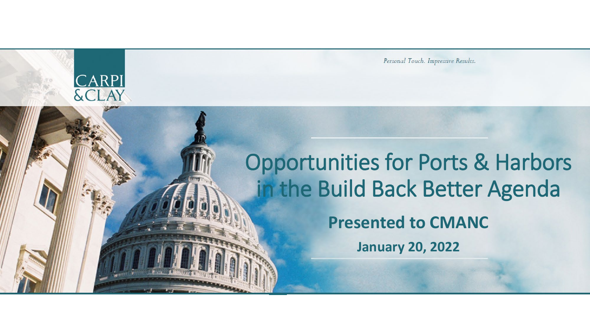Personal Touch. Impressive Results.

# Opportunities for Ports & Harbors in the Build Back Better Agenda

**CARPI**<br>& CLAY

**Presented to CMANC**

**January 20, 2022**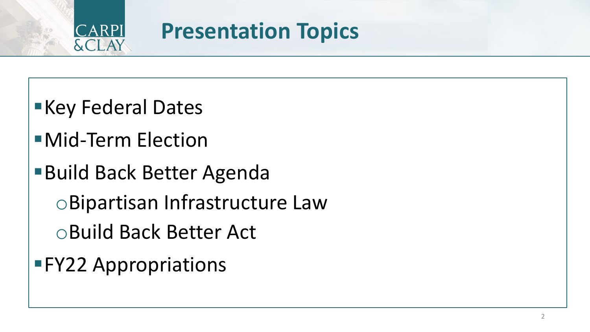

#### **Presentation Topics**

- **Key Federal Dates**
- Mid-Term Election
- ■Build Back Better Agenda
	- oBipartisan Infrastructure Law
	- oBuild Back Better Act
- FY22 Appropriations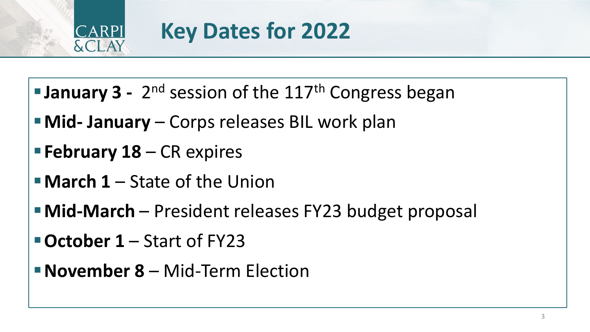

# **Key Dates for 2022**

- **January 3** 2<sup>nd</sup> session of the 117<sup>th</sup> Congress began
- **Mid- January**  Corps releases BIL work plan
- **February 18**  CR expires
- **March 1**  State of the Union
- **Mid-March** President releases FY23 budget proposal
- **October 1**  Start of FY23
- **November 8**  Mid-Term Election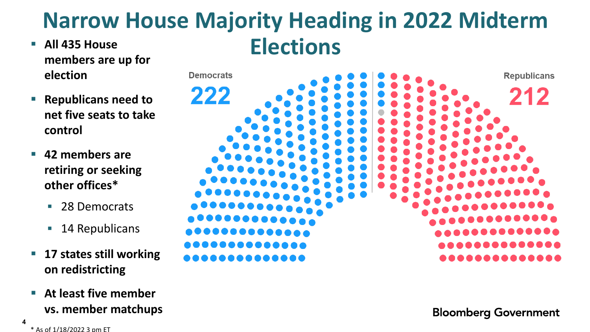#### **Narrow House Majority Heading in 2022 Midterm All 435 House Clections**

- **members are up for election**
- **Republicans need to net five seats to take control**
- **42 members are retiring or seeking other offices\***
	- 28 Democrats
	- **14 Republicans**
- **17 states still working on redistricting**
- **At least five member vs. member matchups**

**Bloomberg Government** 

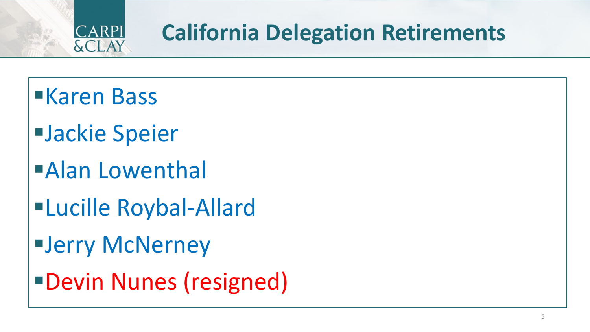

#### **California Delegation Retirements**

- Karen Bass
- Jackie Speier
- Alan Lowenthal
- Lucille Roybal-Allard
- Jerry McNerney
- Devin Nunes (resigned)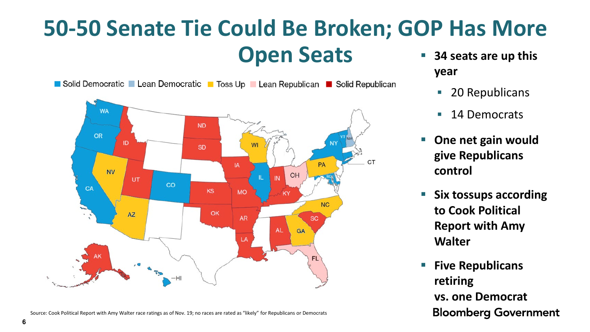# **50-50 Senate Tie Could Be Broken; GOP Has More Open Seats BI** 34 seats are up this



**6**

- **year**
	- 20 Republicans
	- 14 Democrats
- **One net gain would give Republicans control**
- **Six tossups according to Cook Political Report with Amy Walter**
- **Five Republicans retiring vs. one Democrat Bloomberg Government**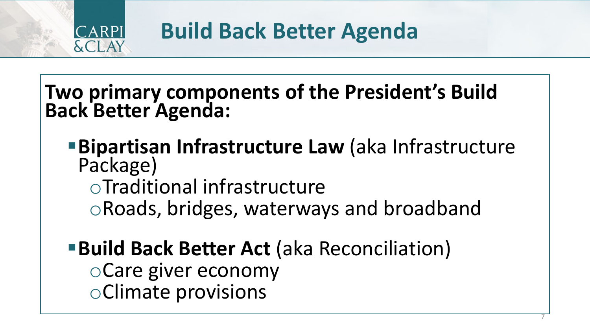

**Build Back Better Agenda**

**Two primary components of the President's Build Back Better Agenda:**

**Bipartisan Infrastructure Law** (aka Infrastructure Package) oTraditional infrastructure oRoads, bridges, waterways and broadband

**Build Back Better Act (aka Reconciliation)** oCare giver economy oClimate provisions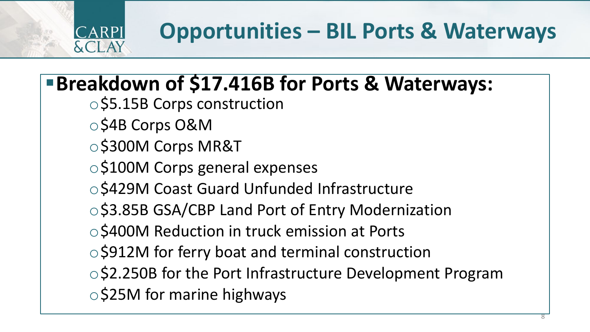#### $R$ Pl  $\lambda$ CLAY

# **Opportunities – BIL Ports & Waterways**

#### **Breakdown of \$17.416B for Ports & Waterways:**

- o\$5.15B Corps construction
- o\$4B Corps O&M
- o\$300M Corps MR&T
- o\$100M Corps general expenses
- o\$429M Coast Guard Unfunded Infrastructure
- \$3.85B GSA/CBP Land Port of Entry Modernization
- o\$400M Reduction in truck emission at Ports
- \$912M for ferry boat and terminal construction
- o\$2.250B for the Port Infrastructure Development Program
- o\$25M for marine highways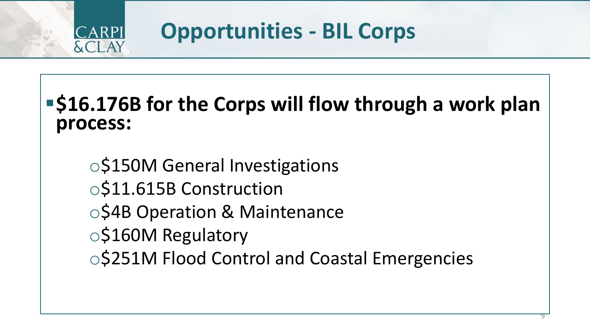

#### **Opportunities - BIL Corps**

#### **S16.176B for the Corps will flow through a work plan process:**

o\$150M General Investigations o\$11.615B Construction o\$4B Operation & Maintenance o\$160M Regulatory o\$251M Flood Control and Coastal Emergencies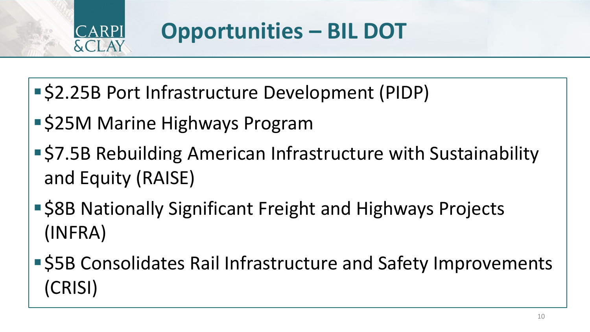

#### **Opportunities – BIL DOT**

- \$2.25B Port Infrastructure Development (PIDP)
- **S25M Marine Highways Program**
- \$7.5B Rebuilding American Infrastructure with Sustainability and Equity (RAISE)
- \$8B Nationally Significant Freight and Highways Projects (INFRA)
- **S5B Consolidates Rail Infrastructure and Safety Improvements** (CRISI)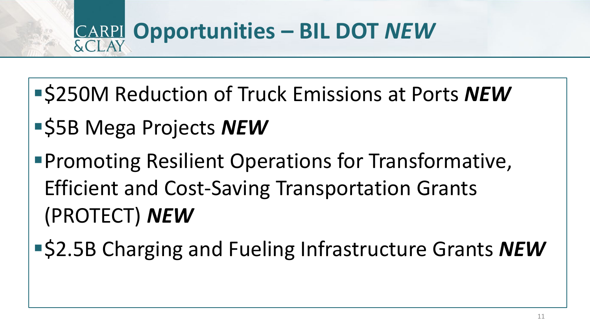

- \$250M Reduction of Truck Emissions at Ports *NEW*
- **S5B Mega Projects NEW**
- **Promoting Resilient Operations for Transformative,** Efficient and Cost-Saving Transportation Grants (PROTECT) *NEW*
- \$2.5B Charging and Fueling Infrastructure Grants *NEW*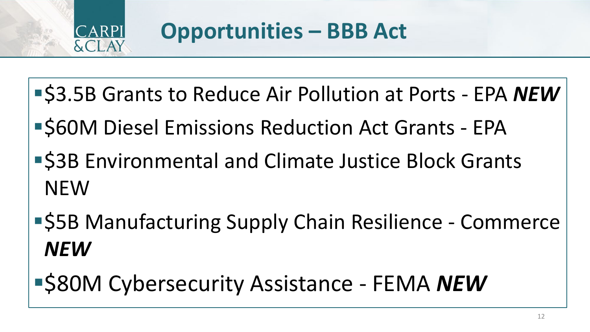

- \$3.5B Grants to Reduce Air Pollution at Ports EPA *NEW*
- **S60M Diesel Emissions Reduction Act Grants EPA**
- **S3B Environmental and Climate Justice Block Grants** NEW
- \$5B Manufacturing Supply Chain Resilience Commerce *NEW*
- \$80M Cybersecurity Assistance FEMA *NEW*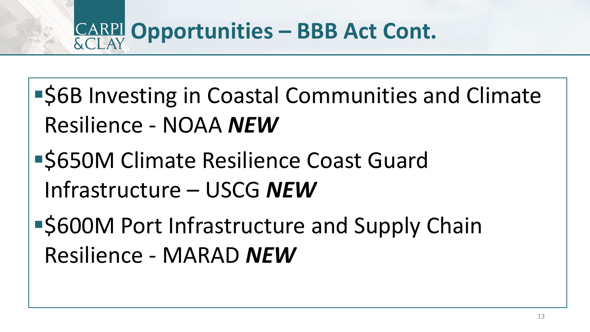- **S6B Investing in Coastal Communities and Climate** Resilience - NOAA *NEW*
- **S650M Climate Resilience Coast Guard** Infrastructure – USCG *NEW*
- **S600M Port Infrastructure and Supply Chain** Resilience - MARAD *NEW*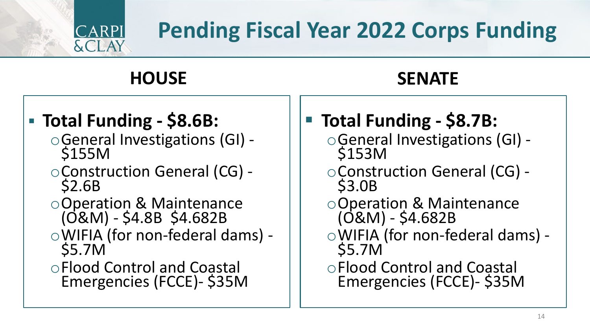# **Pending Fiscal Year 2022 Corps Funding**

#### **HOUSE SENATE**

#### **Total Funding - \$8.6B:**

CARPI

**&CLAY** 

- <sup>o</sup>General Investigations (GI) \$155M
- <sup>o</sup>Construction General (CG) \$2.6B
- oOperation & Maintenance (O&M) - \$4.8B \$4.682B
- <sup>o</sup>WIFIA (for non-federal dams) \$5.7M
- oFlood Control and Coastal Emergencies (FCCE)- \$35M
- **Total Funding - \$8.7B:**
	- <sup>o</sup>General Investigations (GI) \$153M
	- <sup>o</sup>Construction General (CG) \$3.0B
	- oOperation & Maintenance (O&M) - \$4.682B
	- <sup>o</sup>WIFIA (for non-federal dams) \$5.7M
	- oFlood Control and Coastal Emergencies (FCCE)- \$35M